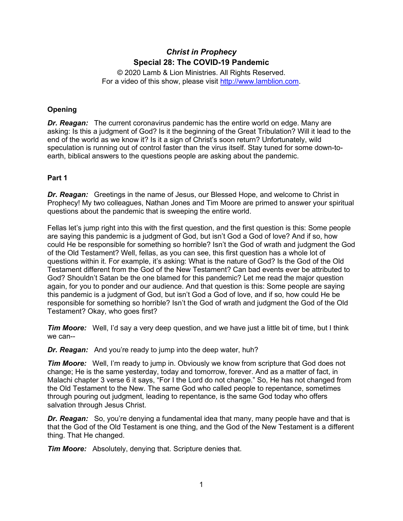# *Christ in Prophecy* **Special 28: The COVID-19 Pandemic**

© 2020 Lamb & Lion Ministries. All Rights Reserved. For a video of this show, please visit [http://www.lamblion.com.](http://www.lamblion.com/)

# **Opening**

*Dr. Reagan:* The current coronavirus pandemic has the entire world on edge. Many are asking: Is this a judgment of God? Is it the beginning of the Great Tribulation? Will it lead to the end of the world as we know it? Is it a sign of Christ's soon return? Unfortunately, wild speculation is running out of control faster than the virus itself. Stay tuned for some down-toearth, biblical answers to the questions people are asking about the pandemic.

# **Part 1**

*Dr. Reagan:* Greetings in the name of Jesus, our Blessed Hope, and welcome to Christ in Prophecy! My two colleagues, Nathan Jones and Tim Moore are primed to answer your spiritual questions about the pandemic that is sweeping the entire world.

Fellas let's jump right into this with the first question, and the first question is this: Some people are saying this pandemic is a judgment of God, but isn't God a God of love? And if so, how could He be responsible for something so horrible? Isn't the God of wrath and judgment the God of the Old Testament? Well, fellas, as you can see, this first question has a whole lot of questions within it. For example, it's asking: What is the nature of God? Is the God of the Old Testament different from the God of the New Testament? Can bad events ever be attributed to God? Shouldn't Satan be the one blamed for this pandemic? Let me read the major question again, for you to ponder and our audience. And that question is this: Some people are saying this pandemic is a judgment of God, but isn't God a God of love, and if so, how could He be responsible for something so horrible? Isn't the God of wrath and judgment the God of the Old Testament? Okay, who goes first?

*Tim Moore:* Well, I'd say a very deep question, and we have just a little bit of time, but I think we can--

*Dr. Reagan:* And you're ready to jump into the deep water, huh?

*Tim Moore:* Well, I'm ready to jump in. Obviously we know from scripture that God does not change; He is the same yesterday, today and tomorrow, forever. And as a matter of fact, in Malachi chapter 3 verse 6 it says, "For I the Lord do not change." So, He has not changed from the Old Testament to the New. The same God who called people to repentance, sometimes through pouring out judgment, leading to repentance, is the same God today who offers salvation through Jesus Christ.

*Dr. Reagan:* So, you're denying a fundamental idea that many, many people have and that is that the God of the Old Testament is one thing, and the God of the New Testament is a different thing. That He changed.

*Tim Moore:* Absolutely, denying that. Scripture denies that.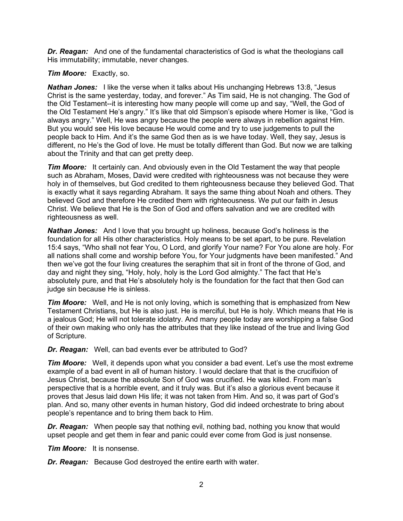*Dr. Reagan:* And one of the fundamental characteristics of God is what the theologians call His immutability; immutable, never changes.

#### *Tim Moore:* Exactly, so.

*Nathan Jones:* I like the verse when it talks about His unchanging Hebrews 13:8, "Jesus Christ is the same yesterday, today, and forever." As Tim said, He is not changing. The God of the Old Testament--it is interesting how many people will come up and say, "Well, the God of the Old Testament He's angry." It's like that old Simpson's episode where Homer is like, "God is always angry." Well, He was angry because the people were always in rebellion against Him. But you would see His love because He would come and try to use judgements to pull the people back to Him. And it's the same God then as is we have today. Well, they say, Jesus is different, no He's the God of love. He must be totally different than God. But now we are talking about the Trinity and that can get pretty deep.

*Tim Moore:* It certainly can. And obviously even in the Old Testament the way that people such as Abraham, Moses, David were credited with righteousness was not because they were holy in of themselves, but God credited to them righteousness because they believed God. That is exactly what it says regarding Abraham. It says the same thing about Noah and others. They believed God and therefore He credited them with righteousness. We put our faith in Jesus Christ. We believe that He is the Son of God and offers salvation and we are credited with righteousness as well.

*Nathan Jones:* And I love that you brought up holiness, because God's holiness is the foundation for all His other characteristics. Holy means to be set apart, to be pure. Revelation 15:4 says, "Who shall not fear You, O Lord, and glorify Your name? For You alone are holy. For all nations shall come and worship before You, for Your judgments have been manifested." And then we've got the four living creatures the seraphim that sit in front of the throne of God, and day and night they sing, "Holy, holy, holy is the Lord God almighty." The fact that He's absolutely pure, and that He's absolutely holy is the foundation for the fact that then God can judge sin because He is sinless.

*Tim Moore:* Well, and He is not only loving, which is something that is emphasized from New Testament Christians, but He is also just. He is merciful, but He is holy. Which means that He is a jealous God; He will not tolerate idolatry. And many people today are worshipping a false God of their own making who only has the attributes that they like instead of the true and living God of Scripture.

*Dr. Reagan:* Well, can bad events ever be attributed to God?

**Tim Moore:** Well, it depends upon what you consider a bad event. Let's use the most extreme example of a bad event in all of human history. I would declare that that is the crucifixion of Jesus Christ, because the absolute Son of God was crucified. He was killed. From man's perspective that is a horrible event, and it truly was. But it's also a glorious event because it proves that Jesus laid down His life; it was not taken from Him. And so, it was part of God's plan. And so, many other events in human history, God did indeed orchestrate to bring about people's repentance and to bring them back to Him.

*Dr. Reagan:* When people say that nothing evil, nothing bad, nothing you know that would upset people and get them in fear and panic could ever come from God is just nonsense.

*Tim Moore:* It is nonsense.

*Dr. Reagan:* Because God destroyed the entire earth with water.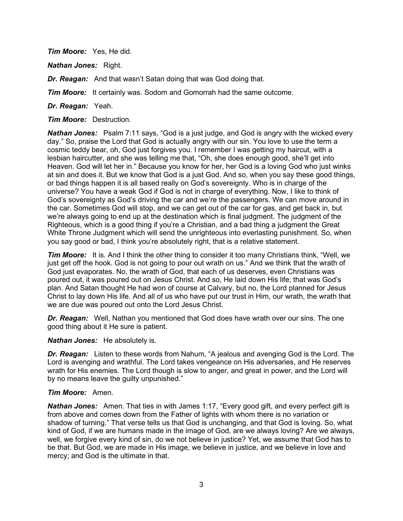*Tim Moore:* Yes, He did.

*Nathan Jones:* Right.

*Dr. Reagan:* And that wasn't Satan doing that was God doing that.

*Tim Moore:* It certainly was. Sodom and Gomorrah had the same outcome.

*Dr. Reagan:* Yeah.

*Tim Moore:* Destruction.

*Nathan Jones:* Psalm 7:11 says, "God is a just judge, and God is angry with the wicked every day." So, praise the Lord that God is actually angry with our sin. You love to use the term a cosmic teddy bear, oh, God just forgives you. I remember I was getting my haircut, with a lesbian haircutter, and she was telling me that, "Oh, she does enough good, she'll get into Heaven. God will let her in." Because you know for her, her God is a loving God who just winks at sin and does it. But we know that God is a just God. And so, when you say these good things, or bad things happen it is all based really on God's sovereignty. Who is in charge of the universe? You have a weak God if God is not in charge of everything. Now, I like to think of God's sovereignty as God's driving the car and we're the passengers. We can move around in the car. Sometimes God will stop, and we can get out of the car for gas, and get back in, but we're always going to end up at the destination which is final judgment. The judgment of the Righteous, which is a good thing if you're a Christian, and a bad thing a judgment the Great White Throne Judgment which will send the unrighteous into everlasting punishment. So, when you say good or bad, I think you're absolutely right, that is a relative statement.

*Tim Moore:* It is. And I think the other thing to consider it too many Christians think, "Well, we just get off the hook. God is not going to pour out wrath on us." And we think that the wrath of God just evaporates. No, the wrath of God, that each of us deserves, even Christians was poured out, it was poured out on Jesus Christ. And so, He laid down His life; that was God's plan. And Satan thought He had won of course at Calvary, but no, the Lord planned for Jesus Christ to lay down His life. And all of us who have put our trust in Him, our wrath, the wrath that we are due was poured out onto the Lord Jesus Christ.

*Dr. Reagan:* Well, Nathan you mentioned that God does have wrath over our sins. The one good thing about it He sure is patient.

# *Nathan Jones:* He absolutely is.

*Dr. Reagan:* Listen to these words from Nahum, "A jealous and avenging God is the Lord. The Lord is avenging and wrathful. The Lord takes vengeance on His adversaries, and He reserves wrath for His enemies. The Lord though is slow to anger, and great in power, and the Lord will by no means leave the guilty unpunished."

# *Tim Moore:* Amen.

*Nathan Jones:* Amen. That ties in with James 1:17, "Every good gift, and every perfect gift is from above and comes down from the Father of lights with whom there is no variation or shadow of turning." That verse tells us that God is unchanging, and that God is loving. So, what kind of God, if we are humans made in the image of God, are we always loving? Are we always, well, we forgive every kind of sin, do we not believe in justice? Yet, we assume that God has to be that. But God, we are made in His image, we believe in justice, and we believe in love and mercy; and God is the ultimate in that.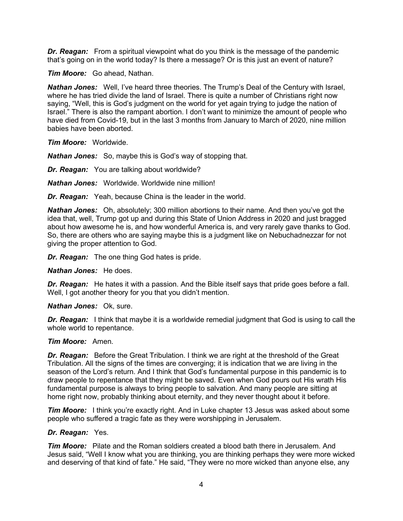*Dr. Reagan:* From a spiritual viewpoint what do you think is the message of the pandemic that's going on in the world today? Is there a message? Or is this just an event of nature?

*Tim Moore:* Go ahead, Nathan.

*Nathan Jones:* Well, I've heard three theories. The Trump's Deal of the Century with Israel, where he has tried divide the land of Israel. There is quite a number of Christians right now saying, "Well, this is God's judgment on the world for yet again trying to judge the nation of Israel." There is also the rampant abortion. I don't want to minimize the amount of people who have died from Covid-19, but in the last 3 months from January to March of 2020, nine million babies have been aborted.

*Tim Moore:* Worldwide.

*Nathan Jones:* So, maybe this is God's way of stopping that.

*Dr. Reagan:* You are talking about worldwide?

*Nathan Jones:* Worldwide. Worldwide nine million!

*Dr. Reagan:* Yeah, because China is the leader in the world.

*Nathan Jones:* Oh, absolutely; 300 million abortions to their name. And then you've got the idea that, well, Trump got up and during this State of Union Address in 2020 and just bragged about how awesome he is, and how wonderful America is, and very rarely gave thanks to God. So, there are others who are saying maybe this is a judgment like on Nebuchadnezzar for not giving the proper attention to God.

*Dr. Reagan:* The one thing God hates is pride.

*Nathan Jones:* He does.

*Dr. Reagan:* He hates it with a passion. And the Bible itself says that pride goes before a fall. Well, I got another theory for you that you didn't mention.

*Nathan Jones:* Ok, sure.

*Dr. Reagan:* I think that maybe it is a worldwide remedial judgment that God is using to call the whole world to repentance.

#### *Tim Moore:* Amen.

*Dr. Reagan:* Before the Great Tribulation. I think we are right at the threshold of the Great Tribulation. All the signs of the times are converging; it is indication that we are living in the season of the Lord's return. And I think that God's fundamental purpose in this pandemic is to draw people to repentance that they might be saved. Even when God pours out His wrath His fundamental purpose is always to bring people to salvation. And many people are sitting at home right now, probably thinking about eternity, and they never thought about it before.

*Tim Moore:* I think you're exactly right. And in Luke chapter 13 Jesus was asked about some people who suffered a tragic fate as they were worshipping in Jerusalem.

# *Dr. Reagan:* Yes.

*Tim Moore:* Pilate and the Roman soldiers created a blood bath there in Jerusalem. And Jesus said, "Well I know what you are thinking, you are thinking perhaps they were more wicked and deserving of that kind of fate." He said, "They were no more wicked than anyone else, any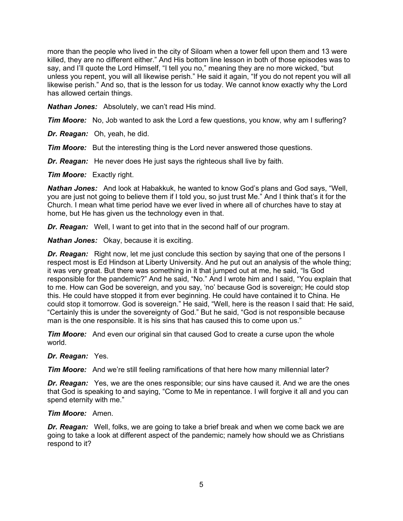more than the people who lived in the city of Siloam when a tower fell upon them and 13 were killed, they are no different either." And His bottom line lesson in both of those episodes was to say, and I'll quote the Lord Himself, "I tell you no," meaning they are no more wicked, "but unless you repent, you will all likewise perish." He said it again, "If you do not repent you will all likewise perish." And so, that is the lesson for us today. We cannot know exactly why the Lord has allowed certain things.

*Nathan Jones:* Absolutely, we can't read His mind.

*Tim Moore:* No, Job wanted to ask the Lord a few questions, you know, why am I suffering?

*Dr. Reagan:* Oh, yeah, he did.

*Tim Moore:* But the interesting thing is the Lord never answered those questions.

*Dr. Reagan:* He never does He just says the righteous shall live by faith.

*Tim Moore:* Exactly right.

*Nathan Jones:* And look at Habakkuk, he wanted to know God's plans and God says, "Well, you are just not going to believe them if I told you, so just trust Me." And I think that's it for the Church. I mean what time period have we ever lived in where all of churches have to stay at home, but He has given us the technology even in that.

*Dr. Reagan:* Well, I want to get into that in the second half of our program.

*Nathan Jones:* Okay, because it is exciting.

**Dr. Reagan:** Right now, let me just conclude this section by saying that one of the persons I respect most is Ed Hindson at Liberty University. And he put out an analysis of the whole thing; it was very great. But there was something in it that jumped out at me, he said, "Is God responsible for the pandemic?" And he said, "No." And I wrote him and I said, "You explain that to me. How can God be sovereign, and you say, 'no' because God is sovereign; He could stop this. He could have stopped it from ever beginning. He could have contained it to China. He could stop it tomorrow. God is sovereign." He said, "Well, here is the reason I said that: He said, "Certainly this is under the sovereignty of God." But he said, "God is not responsible because man is the one responsible. It is his sins that has caused this to come upon us."

*Tim Moore:* And even our original sin that caused God to create a curse upon the whole world.

*Dr. Reagan:* Yes.

**Tim Moore:** And we're still feeling ramifications of that here how many millennial later?

*Dr. Reagan:* Yes, we are the ones responsible; our sins have caused it. And we are the ones that God is speaking to and saying, "Come to Me in repentance. I will forgive it all and you can spend eternity with me."

# *Tim Moore:* Amen.

*Dr. Reagan:* Well, folks, we are going to take a brief break and when we come back we are going to take a look at different aspect of the pandemic; namely how should we as Christians respond to it?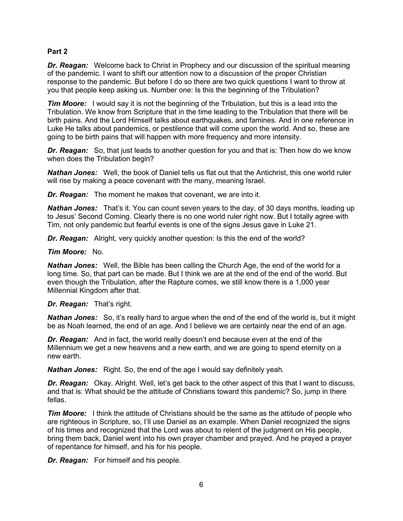# **Part 2**

**Dr. Reagan:** Welcome back to Christ in Prophecy and our discussion of the spiritual meaning of the pandemic. I want to shift our attention now to a discussion of the proper Christian response to the pandemic. But before I do so there are two quick questions I want to throw at you that people keep asking us. Number one: Is this the beginning of the Tribulation?

*Tim Moore:* I would say it is not the beginning of the Tribulation, but this is a lead into the Tribulation. We know from Scripture that in the time leading to the Tribulation that there will be birth pains. And the Lord Himself talks about earthquakes, and famines. And in one reference in Luke He talks about pandemics, or pestilence that will come upon the world. And so, these are going to be birth pains that will happen with more frequency and more intensity.

*Dr. Reagan:* So, that just leads to another question for you and that is: Then how do we know when does the Tribulation begin?

*Nathan Jones:* Well, the book of Daniel tells us flat out that the Antichrist, this one world ruler will rise by making a peace covenant with the many, meaning Israel.

*Dr. Reagan:* The moment he makes that covenant, we are into it.

*Nathan Jones:* That's it. You can count seven years to the day, of 30 days months, leading up to Jesus' Second Coming. Clearly there is no one world ruler right now. But I totally agree with Tim, not only pandemic but fearful events is one of the signs Jesus gave in Luke 21.

*Dr. Reagan:* Alright, very quickly another question: Is this the end of the world?

# *Tim Moore:* No.

*Nathan Jones:* Well, the Bible has been calling the Church Age, the end of the world for a long time. So, that part can be made. But I think we are at the end of the end of the world. But even though the Tribulation, after the Rapture comes, we still know there is a 1,000 year Millennial Kingdom after that.

# *Dr. Reagan:* That's right.

*Nathan Jones:* So, it's really hard to argue when the end of the end of the world is, but it might be as Noah learned, the end of an age. And I believe we are certainly near the end of an age.

*Dr. Reagan:* And in fact, the world really doesn't end because even at the end of the Millennium we get a new heavens and a new earth, and we are going to spend eternity on a new earth.

*Nathan Jones:* Right. So, the end of the age I would say definitely yeah.

*Dr. Reagan:* Okay. Alright. Well, let's get back to the other aspect of this that I want to discuss, and that is: What should be the attitude of Christians toward this pandemic? So, jump in there fellas.

*Tim Moore:* I think the attitude of Christians should be the same as the attitude of people who are righteous in Scripture, so, I'll use Daniel as an example. When Daniel recognized the signs of his times and recognized that the Lord was about to relent of the judgment on His people, bring them back, Daniel went into his own prayer chamber and prayed. And he prayed a prayer of repentance for himself, and his for his people.

*Dr. Reagan:* For himself and his people.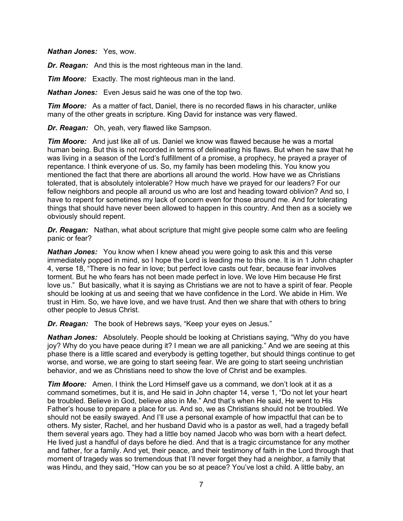*Nathan Jones:* Yes, wow.

*Dr. Reagan:* And this is the most righteous man in the land.

*Tim Moore:* Exactly. The most righteous man in the land.

*Nathan Jones:* Even Jesus said he was one of the top two.

*Tim Moore:* As a matter of fact, Daniel, there is no recorded flaws in his character, unlike many of the other greats in scripture. King David for instance was very flawed.

*Dr. Reagan:* Oh, yeah, very flawed like Sampson.

*Tim Moore:* And just like all of us. Daniel we know was flawed because he was a mortal human being. But this is not recorded in terms of delineating his flaws. But when he saw that he was living in a season of the Lord's fulfillment of a promise, a prophecy, he prayed a prayer of repentance. I think everyone of us. So, my family has been modeling this. You know you mentioned the fact that there are abortions all around the world. How have we as Christians tolerated, that is absolutely intolerable? How much have we prayed for our leaders? For our fellow neighbors and people all around us who are lost and heading toward oblivion? And so, I have to repent for sometimes my lack of concern even for those around me. And for tolerating things that should have never been allowed to happen in this country. And then as a society we obviously should repent.

*Dr. Reagan:* Nathan, what about scripture that might give people some calm who are feeling panic or fear?

*Nathan Jones:* You know when I knew ahead you were going to ask this and this verse immediately popped in mind, so I hope the Lord is leading me to this one. It is in 1 John chapter 4, verse 18, "There is no fear in love; but perfect love casts out fear, because fear involves torment. But he who fears has not been made perfect in love. We love Him because He first love us." But basically, what it is saying as Christians we are not to have a spirit of fear. People should be looking at us and seeing that we have confidence in the Lord. We abide in Him. We trust in Him. So, we have love, and we have trust. And then we share that with others to bring other people to Jesus Christ.

*Dr. Reagan:* The book of Hebrews says, "Keep your eyes on Jesus."

*Nathan Jones:* Absolutely. People should be looking at Christians saying, "Why do you have joy? Why do you have peace during it? I mean we are all panicking." And we are seeing at this phase there is a little scared and everybody is getting together, but should things continue to get worse, and worse, we are going to start seeing fear. We are going to start seeing unchristian behavior, and we as Christians need to show the love of Christ and be examples.

*Tim Moore:* Amen. I think the Lord Himself gave us a command, we don't look at it as a command sometimes, but it is, and He said in John chapter 14, verse 1, "Do not let your heart be troubled. Believe in God, believe also in Me." And that's when He said, He went to His Father's house to prepare a place for us. And so, we as Christians should not be troubled. We should not be easily swayed. And I'll use a personal example of how impactful that can be to others. My sister, Rachel, and her husband David who is a pastor as well, had a tragedy befall them several years ago. They had a little boy named Jacob who was born with a heart defect. He lived just a handful of days before he died. And that is a tragic circumstance for any mother and father, for a family. And yet, their peace, and their testimony of faith in the Lord through that moment of tragedy was so tremendous that I'll never forget they had a neighbor, a family that was Hindu, and they said, "How can you be so at peace? You've lost a child. A little baby, an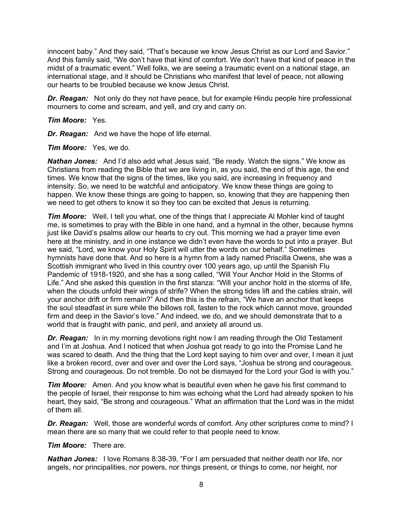innocent baby." And they said, "That's because we know Jesus Christ as our Lord and Savior." And this family said, "We don't have that kind of comfort. We don't have that kind of peace in the midst of a traumatic event." Well folks, we are seeing a traumatic event on a national stage, an international stage, and it should be Christians who manifest that level of peace, not allowing our hearts to be troubled because we know Jesus Christ.

*Dr. Reagan:* Not only do they not have peace, but for example Hindu people hire professional mourners to come and scream, and yell, and cry and carry on.

# *Tim Moore:* Yes.

*Dr. Reagan:* And we have the hope of life eternal.

*Tim Moore:* Yes, we do.

*Nathan Jones:* And I'd also add what Jesus said, "Be ready. Watch the signs." We know as Christians from reading the Bible that we are living in, as you said, the end of this age, the end times. We know that the signs of the times, like you said, are increasing in frequency and intensity. So, we need to be watchful and anticipatory. We know these things are going to happen. We know these things are going to happen, so, knowing that they are happening then we need to get others to know it so they too can be excited that Jesus is returning.

*Tim Moore:* Well, I tell you what, one of the things that I appreciate AI Mohler kind of taught me, is sometimes to pray with the Bible in one hand, and a hymnal in the other, because hymns just like David's psalms allow our hearts to cry out. This morning we had a prayer time even here at the ministry, and in one instance we didn't even have the words to put into a prayer. But we said, "Lord, we know your Holy Spirit will utter the words on our behalf." Sometimes hymnists have done that. And so here is a hymn from a lady named Priscilla Owens, she was a Scottish immigrant who lived in this country over 100 years ago, up until the Spanish Flu Pandemic of 1918-1920, and she has a song called, "Will Your Anchor Hold in the Storms of Life." And she asked this question in the first stanza: "Will your anchor hold in the storms of life, when the clouds unfold their wings of strife? When the strong tides lift and the cables strain, will your anchor drift or firm remain?" And then this is the refrain, "We have an anchor that keeps the soul steadfast in sure while the billows roll, fasten to the rock which cannot move, grounded firm and deep in the Savior's love." And indeed, we do, and we should demonstrate that to a world that is fraught with panic, and peril, and anxiety all around us.

*Dr. Reagan:* In in my morning devotions right now I am reading through the Old Testament and I'm at Joshua. And I noticed that when Joshua got ready to go into the Promise Land he was scared to death. And the thing that the Lord kept saying to him over and over, I mean it just like a broken record, over and over and over the Lord says, "Joshua be strong and courageous. Strong and courageous. Do not tremble. Do not be dismayed for the Lord your God is with you."

*Tim Moore:* Amen. And you know what is beautiful even when he gave his first command to the people of Israel, their response to him was echoing what the Lord had already spoken to his heart, they said, "Be strong and courageous." What an affirmation that the Lord was in the midst of them all.

*Dr. Reagan:* Well, those are wonderful words of comfort. Any other scriptures come to mind? I mean there are so many that we could refer to that people need to know.

# *Tim Moore:* There are.

*Nathan Jones:* I love Romans 8:38-39, "For I am persuaded that neither death nor life, nor angels, nor principalities, nor powers, nor things present, or things to come, nor height, nor